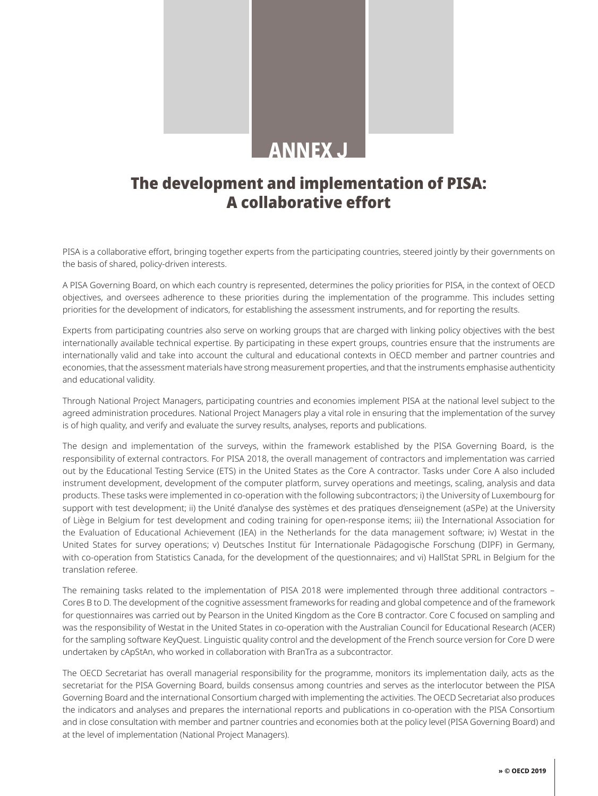# **ANNEX J**

# The development and implementation of PISA: A collaborative effort

PISA is a collaborative effort, bringing together experts from the participating countries, steered jointly by their governments on the basis of shared, policy-driven interests.

A PISA Governing Board, on which each country is represented, determines the policy priorities for PISA, in the context of OECD objectives, and oversees adherence to these priorities during the implementation of the programme. This includes setting priorities for the development of indicators, for establishing the assessment instruments, and for reporting the results.

Experts from participating countries also serve on working groups that are charged with linking policy objectives with the best internationally available technical expertise. By participating in these expert groups, countries ensure that the instruments are internationally valid and take into account the cultural and educational contexts in OECD member and partner countries and economies, that the assessment materials have strong measurement properties, and that the instruments emphasise authenticity and educational validity.

Through National Project Managers, participating countries and economies implement PISA at the national level subject to the agreed administration procedures. National Project Managers play a vital role in ensuring that the implementation of the survey is of high quality, and verify and evaluate the survey results, analyses, reports and publications.

The design and implementation of the surveys, within the framework established by the PISA Governing Board, is the responsibility of external contractors. For PISA 2018, the overall management of contractors and implementation was carried out by the Educational Testing Service (ETS) in the United States as the Core A contractor. Tasks under Core A also included instrument development, development of the computer platform, survey operations and meetings, scaling, analysis and data products. These tasks were implemented in co-operation with the following subcontractors; i) the University of Luxembourg for support with test development; ii) the Unité d'analyse des systèmes et des pratiques d'enseignement (aSPe) at the University of Liège in Belgium for test development and coding training for open-response items; iii) the International Association for the Evaluation of Educational Achievement (IEA) in the Netherlands for the data management software; iv) Westat in the United States for survey operations; v) Deutsches Institut für Internationale Pädagogische Forschung (DIPF) in Germany, with co-operation from Statistics Canada, for the development of the questionnaires; and vi) HallStat SPRL in Belgium for the translation referee.

The remaining tasks related to the implementation of PISA 2018 were implemented through three additional contractors – Cores B to D. The development of the cognitive assessment frameworks for reading and global competence and of the framework for questionnaires was carried out by Pearson in the United Kingdom as the Core B contractor. Core C focused on sampling and was the responsibility of Westat in the United States in co-operation with the Australian Council for Educational Research (ACER) for the sampling software KeyQuest. Linguistic quality control and the development of the French source version for Core D were undertaken by cApStAn, who worked in collaboration with BranTra as a subcontractor.

The OECD Secretariat has overall managerial responsibility for the programme, monitors its implementation daily, acts as the secretariat for the PISA Governing Board, builds consensus among countries and serves as the interlocutor between the PISA Governing Board and the international Consortium charged with implementing the activities. The OECD Secretariat also produces the indicators and analyses and prepares the international reports and publications in co-operation with the PISA Consortium and in close consultation with member and partner countries and economies both at the policy level (PISA Governing Board) and at the level of implementation (National Project Managers).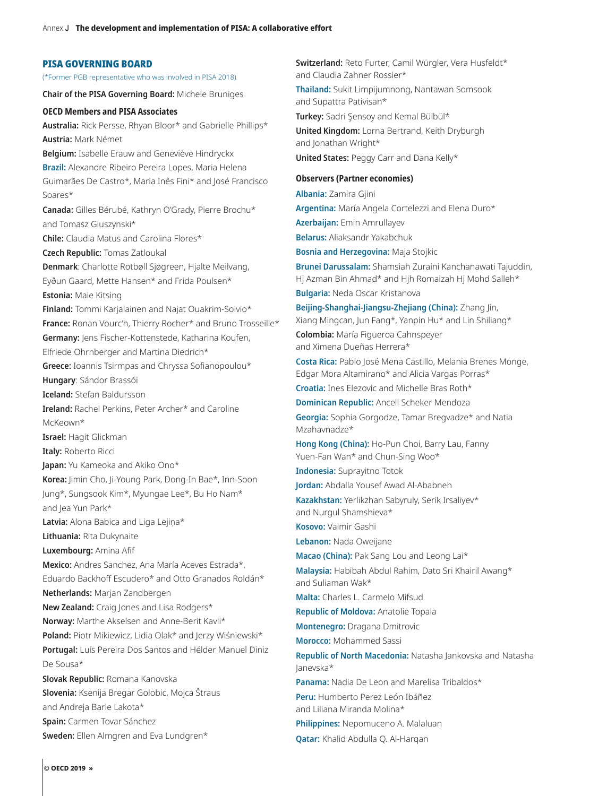#### PISA GOVERNING BOARD

(\*Former PGB representative who was involved in PISA 2018)

**Chair of the PISA Governing Board:** Michele Bruniges

#### **OECD Members and PISA Associates**

**Australia:** Rick Persse, Rhyan Bloor\* and Gabrielle Phillips\* **Austria:** Mark Német

**Belgium:** Isabelle Erauw and Geneviève Hindryckx **Brazil:** Alexandre Ribeiro Pereira Lopes, Maria Helena Guimarães De Castro\*, Maria Inês Fini\* and José Francisco Soares\*

**Canada:** Gilles Bérubé, Kathryn O'Grady, Pierre Brochu\* and Tomasz Gluszynski\*

**Chile:** Claudia Matus and Carolina Flores\*

**Czech Republic:** Tomas Zatloukal

**Denmark**: Charlotte Rotbøll Sjøgreen, Hjalte Meilvang, Eyðun Gaard, Mette Hansen\* and Frida Poulsen\*

**Estonia:** Maie Kitsing

**Finland:** Tommi Karjalainen and Najat Ouakrim-Soivio\* **France:** Ronan Vourc'h, Thierry Rocher\* and Bruno Trosseille\*

**Germany:** Jens Fischer-Kottenstede, Katharina Koufen,

Elfriede Ohrnberger and Martina Diedrich\*

**Greece:** Ioannis Tsirmpas and Chryssa Sofianopoulou\*

**Hungary**: Sándor Brassói

**Iceland:** Stefan Baldursson

**Ireland:** Rachel Perkins, Peter Archer\* and Caroline McKeown\*

**Israel:** Hagit Glickman

**Italy:** Roberto Ricci

**Japan:** Yu Kameoka and Akiko Ono\*

**Korea:** Jimin Cho, Ji-Young Park, Dong-In Bae\*, Inn-Soon Jung\*, Sungsook Kim\*, Myungae Lee\*, Bu Ho Nam\* and Jea Yun Park\*

**Latvia:** Alona Babica and Liga Lejiņa\*

**Lithuania:** Rita Dukynaite

**Luxembourg:** Amina Afif

**Mexico:** Andres Sanchez, Ana María Aceves Estrada\*,

Eduardo Backhoff Escudero\* and Otto Granados Roldán\* **Netherlands:** Marjan Zandbergen

**New Zealand:** Craig Jones and Lisa Rodgers\*

**Norway:** Marthe Akselsen and Anne-Berit Kavli\*

**Poland:** Piotr Mikiewicz, Lidia Olak\* and Jerzy Wiśniewski\*

**Portugal:** Luís Pereira Dos Santos and Hélder Manuel Diniz De Sousa\*

**Slovak Republic:** Romana Kanovska **Slovenia:** Ksenija Bregar Golobic, Mojca Štraus and Andreja Barle Lakota\* **Spain:** Carmen Tovar Sánchez **Sweden:** Ellen Almgren and Eva Lundgren\*

**Switzerland:** Reto Furter, Camil Würgler, Vera Husfeldt\* and Claudia Zahner Rossier\*

**Thailand:** Sukit Limpijumnong, Nantawan Somsook and Supattra Pativisan\*

**Turkey:** Sadri Şensoy and Kemal Bülbül\*

**United Kingdom:** Lorna Bertrand, Keith Dryburgh and Jonathan Wright\*

**United States:** Peggy Carr and Dana Kelly\*

#### **Observers (Partner economies)**

**Albania:** Zamira Gjini **Argentina:** María Angela Cortelezzi and Elena Duro\* **Azerbaijan:** Emin Amrullayev

**Belarus:** Aliaksandr Yakabchuk

**Bosnia and Herzegovina:** Maja Stojkic

**Brunei Darussalam:** Shamsiah Zuraini Kanchanawati Tajuddin, Hj Azman Bin Ahmad\* and Hjh Romaizah Hj Mohd Salleh\*

**Bulgaria:** Neda Oscar Kristanova

**Beijing‑Shanghai‑Jiangsu‑Zhejiang (China):** Zhang Jin, Xiang Mingcan, Jun Fang\*, Yanpin Hu\* and Lin Shiliang\* **Colombia:** María Figueroa Cahnspeyer

and Ximena Dueñas Herrera\*

**Costa Rica:** Pablo José Mena Castillo, Melania Brenes Monge, Edgar Mora Altamirano\* and Alicia Vargas Porras\*

**Croatia:** Ines Elezovic and Michelle Bras Roth\*

**Dominican Republic:** Ancell Scheker Mendoza

**Georgia:** Sophia Gorgodze, Tamar Bregvadze\* and Natia Mzahavnadze\*

**Hong Kong (China):** Ho‑Pun Choi, Barry Lau, Fanny Yuen-Fan Wan\* and Chun-Sing Woo\*

**Indonesia:** Suprayitno Totok

**Jordan:** Abdalla Yousef Awad Al‑Ababneh

**Kazakhstan:** Yerlikzhan Sabyruly, Serik Irsaliyev\*

and Nurgul Shamshieva\*

**Kosovo:** Valmir Gashi

**Lebanon:** Nada Oweijane

**Macao (China):** Pak Sang Lou and Leong Lai\*

**Malaysia:** Habibah Abdul Rahim, Dato Sri Khairil Awang\* and Suliaman Wak\*

**Malta:** Charles L. Carmelo Mifsud

**Republic of Moldova:** Anatolie Topala

**Montenegro:** Dragana Dmitrovic

**Morocco:** Mohammed Sassi

**Republic of North Macedonia:** Natasha Jankovska and Natasha Janevska\*

**Panama:** Nadia De Leon and Marelisa Tribaldos\*

**Peru:** Humberto Perez León Ibáñez

and Liliana Miranda Molina\*

**Philippines:** Nepomuceno A. Malaluan

**Qatar:** Khalid Abdulla Q. Al‑Harqan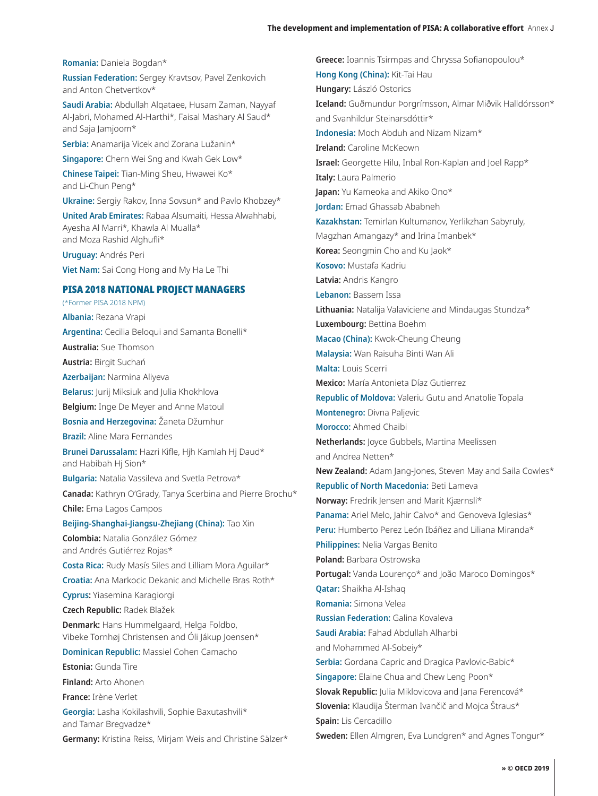#### **Romania:** Daniela Bogdan\*

**Russian Federation:** Sergey Kravtsov, Pavel Zenkovich and Anton Chetvertkov\*

**Saudi Arabia:** Abdullah Alqataee, Husam Zaman, Nayyaf Al-Jabri, Mohamed Al-Harthi\*, Faisal Mashary Al Saud\* and Saja Jamjoom\*

**Serbia:** Anamarija Vicek and Zorana Lužanin\*

**Singapore:** Chern Wei Sng and Kwah Gek Low\*

**Chinese Taipei:** Tian‑Ming Sheu, Hwawei Ko\* and Li‑Chun Peng\*

**Ukraine:** Sergiy Rakov, Inna Sovsun\* and Pavlo Khobzey\* **United Arab Emirates:** Rabaa Alsumaiti, Hessa Alwahhabi,

Ayesha Al Marri\*, Khawla Al Mualla\* and Moza Rashid Alghufli\*

**Uruguay:** Andrés Peri

**Viet Nam:** Sai Cong Hong and My Ha Le Thi

#### PISA 2018 NATIONAL PROJECT MANAGERS

(\*Former PISA 2018 NPM) **Albania:** Rezana Vrapi **Argentina:** Cecilia Beloqui and Samanta Bonelli\* **Australia:** Sue Thomson **Austria:** Birgit Suchań **Azerbaijan:** Narmina Aliyeva **Belarus:** Jurij Miksiuk and Julia Khokhlova **Belgium:** Inge De Meyer and Anne Matoul **Bosnia and Herzegovina:** Žaneta Džumhur **Brazil:** Aline Mara Fernandes **Brunei Darussalam:** Hazri Kifle, Hjh Kamlah Hj Daud\* and Habibah Hj Sion\* **Bulgaria:** Natalia Vassileva and Svetla Petrova\* **Canada:** Kathryn O'Grady, Tanya Scerbina and Pierre Brochu\* **Chile:** Ema Lagos Campos **Beijing‑Shanghai‑Jiangsu‑Zhejiang (China):** Tao Xin **Colombia:** Natalia González Gómez and Andrés Gutiérrez Rojas\* **Costa Rica:** Rudy Masís Siles and Lilliam Mora Aguilar\* **Croatia:** Ana Markocic Dekanic and Michelle Bras Roth\* **Cyprus:** Yiasemina Karagiorgi **Czech Republic:** Radek Blažek **Denmark:** Hans Hummelgaard, Helga Foldbo, Vibeke Tornhøj Christensen and Óli Jákup Joensen\* **Dominican Republic:** Massiel Cohen Camacho **Estonia:** Gunda Tire **Finland:** Arto Ahonen **France:** Irène Verlet **Georgia:** Lasha Kokilashvili, Sophie Baxutashvili\* and Tamar Bregvadze\* **Germany:** Kristina Reiss, Mirjam Weis and Christine Sälzer\*

**Greece:** Ioannis Tsirmpas and Chryssa Sofianopoulou\* **Hong Kong (China):** Kit-Tai Hau **Hungary:** László Ostorics **Iceland:** Guðmundur Þorgrímsson, Almar Miðvik Halldórsson\* and Svanhildur Steinarsdóttir\* **Indonesia:** Moch Abduh and Nizam Nizam\* **Ireland:** Caroline McKeown **Israel:** Georgette Hilu, Inbal Ron-Kaplan and Joel Rapp\* **Italy:** Laura Palmerio **Japan:** Yu Kameoka and Akiko Ono\* **Jordan:** Emad Ghassab Ababneh **Kazakhstan:** Temirlan Kultumanov, Yerlikzhan Sabyruly, Magzhan Amangazy\* and Irina Imanbek\* **Korea:** Seongmin Cho and Ku Jaok\* **Kosovo:** Mustafa Kadriu **Latvia:** Andris Kangro **Lebanon:** Bassem Issa **Lithuania:** Natalija Valaviciene and Mindaugas Stundza\* **Luxembourg:** Bettina Boehm **Macao (China):** Kwok-Cheung Cheung **Malaysia:** Wan Raisuha Binti Wan Ali **Malta:** Louis Scerri **Mexico:** María Antonieta Díaz Gutierrez **Republic of Moldova:** Valeriu Gutu and Anatolie Topala **Montenegro:** Divna Paljevic **Morocco:** Ahmed Chaibi **Netherlands:** Joyce Gubbels, Martina Meelissen and Andrea Netten\* **New Zealand:** Adam Jang-Jones, Steven May and Saila Cowles\* **Republic of North Macedonia:** Beti Lameva **Norway:** Fredrik Jensen and Marit Kjærnsli\* **Panama:** Ariel Melo, Jahir Calvo\* and Genoveva Iglesias\* **Peru:** Humberto Perez León Ibáñez and Liliana Miranda\* **Philippines:** Nelia Vargas Benito **Poland:** Barbara Ostrowska **Portugal:** Vanda Lourenço\* and João Maroco Domingos\* **Qatar:** Shaikha Al-Ishaq **Romania:** Simona Velea **Russian Federation:** Galina Kovaleva **Saudi Arabia:** Fahad Abdullah Alharbi and Mohammed Al-Sobeiy\* **Serbia:** Gordana Capric and Dragica Pavlovic-Babic\* **Singapore:** Elaine Chua and Chew Leng Poon\* **Slovak Republic:** Julia Miklovicova and Jana Ferencová\* **Slovenia:** Klaudija Šterman Ivančič and Mojca Štraus\* **Spain:** Lis Cercadillo **Sweden:** Ellen Almgren, Eva Lundgren\* and Agnes Tongur\*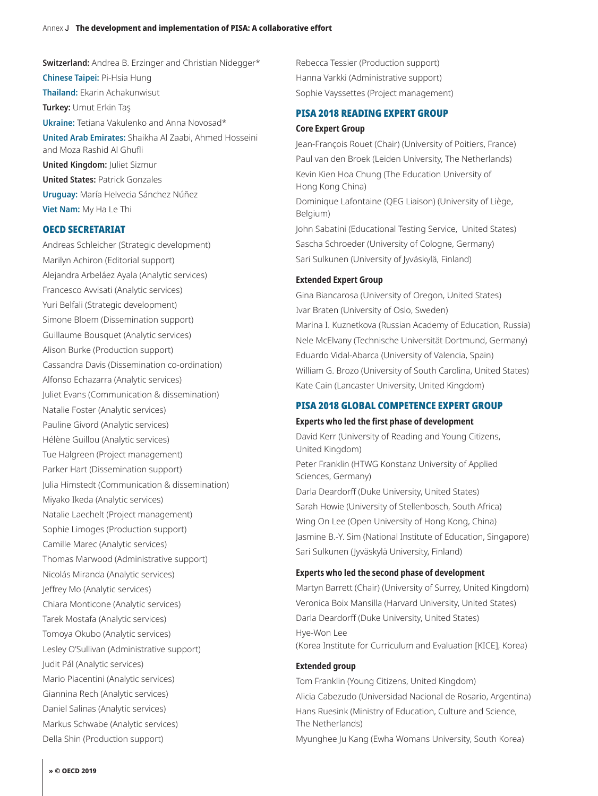**Switzerland:** Andrea B. Erzinger and Christian Nidegger\* **Chinese Taipei:** Pi‑Hsia Hung **Thailand:** Ekarin Achakunwisut **Turkey:** Umut Erkin Taş **Ukraine:** Tetiana Vakulenko and Anna Novosad\* **United Arab Emirates:** Shaikha Al Zaabi, Ahmed Hosseini and Moza Rashid Al Ghufli **United Kingdom:** Juliet Sizmur **United States:** Patrick Gonzales **Uruguay:** María Helvecia Sánchez Núñez **Viet Nam:** My Ha Le Thi

#### OECD SECRETARIAT

Andreas Schleicher (Strategic development) Marilyn Achiron (Editorial support) Alejandra Arbeláez Ayala (Analytic services) Francesco Avvisati (Analytic services) Yuri Belfali (Strategic development) Simone Bloem (Dissemination support) Guillaume Bousquet (Analytic services) Alison Burke (Production support) Cassandra Davis (Dissemination co‑ordination) Alfonso Echazarra (Analytic services) Juliet Evans (Communication & dissemination) Natalie Foster (Analytic services) Pauline Givord (Analytic services) Hélène Guillou (Analytic services) Tue Halgreen (Project management) Parker Hart (Dissemination support) Julia Himstedt (Communication & dissemination) Miyako Ikeda (Analytic services) Natalie Laechelt (Project management) Sophie Limoges (Production support) Camille Marec (Analytic services) Thomas Marwood (Administrative support) Nicolás Miranda (Analytic services) Jeffrey Mo (Analytic services) Chiara Monticone (Analytic services) Tarek Mostafa (Analytic services) Tomoya Okubo (Analytic services) Lesley O'Sullivan (Administrative support) Judit Pál (Analytic services) Mario Piacentini (Analytic services) Giannina Rech (Analytic services) Daniel Salinas (Analytic services) Markus Schwabe (Analytic services) Della Shin (Production support)

Rebecca Tessier (Production support) Hanna Varkki (Administrative support) Sophie Vayssettes (Project management)

#### PISA 2018 READING EXPERT GROUP

#### **Core Expert Group**

Jean-François Rouet (Chair) (University of Poitiers, France) Paul van den Broek (Leiden University, The Netherlands) Kevin Kien Hoa Chung (The Education University of Hong Kong China) Dominique Lafontaine (QEG Liaison) (University of Liège, Belgium) John Sabatini (Educational Testing Service, United States) Sascha Schroeder (University of Cologne, Germany)

## Sari Sulkunen (University of Jyväskylä, Finland)

**Extended Expert Group**

# Gina Biancarosa (University of Oregon, United States) Ivar Braten (University of Oslo, Sweden) Marina I. Kuznetkova (Russian Academy of Education, Russia) Nele McElvany (Technische Universität Dortmund, Germany) Eduardo Vidal‑Abarca (University of Valencia, Spain) William G. Brozo (University of South Carolina, United States) Kate Cain (Lancaster University, United Kingdom)

#### PISA 2018 GLOBAL COMPETENCE EXPERT GROUP

#### **Experts who led the first phase of development**

David Kerr (University of Reading and Young Citizens, United Kingdom) Peter Franklin (HTWG Konstanz University of Applied Sciences, Germany) Darla Deardorff (Duke University, United States) Sarah Howie (University of Stellenbosch, South Africa) Wing On Lee (Open University of Hong Kong, China)

Jasmine B.‑Y. Sim (National Institute of Education, Singapore) Sari Sulkunen (Jyväskylä University, Finland)

#### **Experts who led the second phase of development**

Martyn Barrett (Chair) (University of Surrey, United Kingdom) Veronica Boix Mansilla (Harvard University, United States) Darla Deardorff (Duke University, United States) Hye‑Won Lee (Korea Institute for Curriculum and Evaluation [KICE], Korea)

#### **Extended group**

Tom Franklin (Young Citizens, United Kingdom) Alicia Cabezudo (Universidad Nacional de Rosario, Argentina) Hans Ruesink (Ministry of Education, Culture and Science, The Netherlands) Myunghee Ju Kang (Ewha Womans University, South Korea)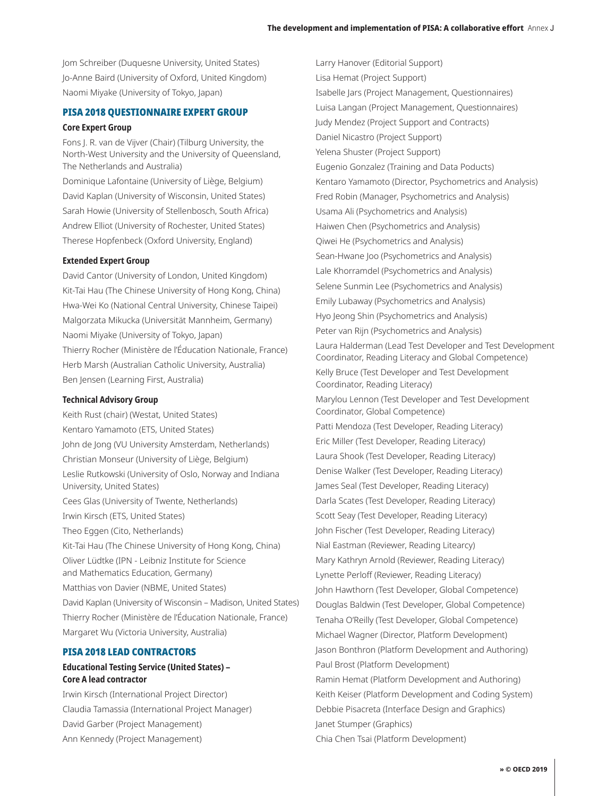Jom Schreiber (Duquesne University, United States) Jo‑Anne Baird (University of Oxford, United Kingdom) Naomi Miyake (University of Tokyo, Japan)

#### PISA 2018 QUESTIONNAIRE EXPERT GROUP

#### **Core Expert Group**

Fons J. R. van de Vijver (Chair) (Tilburg University, the North‑West University and the University of Queensland, The Netherlands and Australia)

Dominique Lafontaine (University of Liège, Belgium) David Kaplan (University of Wisconsin, United States) Sarah Howie (University of Stellenbosch, South Africa) Andrew Elliot (University of Rochester, United States) Therese Hopfenbeck (Oxford University, England)

#### **Extended Expert Group**

David Cantor (University of London, United Kingdom) Kit‑Tai Hau (The Chinese University of Hong Kong, China) Hwa‑Wei Ko (National Central University, Chinese Taipei) Malgorzata Mikucka (Universität Mannheim, Germany) Naomi Miyake (University of Tokyo, Japan) Thierry Rocher (Ministère de l'Éducation Nationale, France) Herb Marsh (Australian Catholic University, Australia) Ben Jensen (Learning First, Australia)

#### **Technical Advisory Group**

Keith Rust (chair) (Westat, United States) Kentaro Yamamoto (ETS, United States) John de Jong (VU University Amsterdam, Netherlands) Christian Monseur (University of Liège, Belgium) Leslie Rutkowski (University of Oslo, Norway and Indiana University, United States) Cees Glas (University of Twente, Netherlands) Irwin Kirsch (ETS, United States) Theo Eggen (Cito, Netherlands) Kit‑Tai Hau (The Chinese University of Hong Kong, China) Oliver Lüdtke (IPN ‑ Leibniz Institute for Science and Mathematics Education, Germany) Matthias von Davier (NBME, United States) David Kaplan (University of Wisconsin – Madison, United States) Thierry Rocher (Ministère de l'Éducation Nationale, France) Margaret Wu (Victoria University, Australia)

#### PISA 2018 LEAD CONTRACTORS

#### **Educational Testing Service (United States) – Core A lead contractor**

Irwin Kirsch (International Project Director) Claudia Tamassia (International Project Manager) David Garber (Project Management) Ann Kennedy (Project Management)

Larry Hanover (Editorial Support) Lisa Hemat (Project Support) Isabelle Jars (Project Management, Questionnaires) Luisa Langan (Project Management, Questionnaires) Judy Mendez (Project Support and Contracts) Daniel Nicastro (Project Support) Yelena Shuster (Project Support) Eugenio Gonzalez (Training and Data Poducts) Kentaro Yamamoto (Director, Psychometrics and Analysis) Fred Robin (Manager, Psychometrics and Analysis) Usama Ali (Psychometrics and Analysis) Haiwen Chen (Psychometrics and Analysis) Qiwei He (Psychometrics and Analysis) Sean-Hwane Joo (Psychometrics and Analysis) Lale Khorramdel (Psychometrics and Analysis) Selene Sunmin Lee (Psychometrics and Analysis) Emily Lubaway (Psychometrics and Analysis) Hyo Jeong Shin (Psychometrics and Analysis) Peter van Rijn (Psychometrics and Analysis) Laura Halderman (Lead Test Developer and Test Development Coordinator, Reading Literacy and Global Competence) Kelly Bruce (Test Developer and Test Development Coordinator, Reading Literacy) Marylou Lennon (Test Developer and Test Development Coordinator, Global Competence) Patti Mendoza (Test Developer, Reading Literacy) Eric Miller (Test Developer, Reading Literacy) Laura Shook (Test Developer, Reading Literacy) Denise Walker (Test Developer, Reading Literacy) James Seal (Test Developer, Reading Literacy) Darla Scates (Test Developer, Reading Literacy) Scott Seay (Test Developer, Reading Literacy) John Fischer (Test Developer, Reading Literacy) Nial Eastman (Reviewer, Reading Litearcy) Mary Kathryn Arnold (Reviewer, Reading Literacy) Lynette Perloff (Reviewer, Reading Literacy) John Hawthorn (Test Developer, Global Competence) Douglas Baldwin (Test Developer, Global Competence) Tenaha O'Reilly (Test Developer, Global Competence) Michael Wagner (Director, Platform Development) Jason Bonthron (Platform Development and Authoring) Paul Brost (Platform Development) Ramin Hemat (Platform Development and Authoring) Keith Keiser (Platform Development and Coding System) Debbie Pisacreta (Interface Design and Graphics) Janet Stumper (Graphics) Chia Chen Tsai (Platform Development)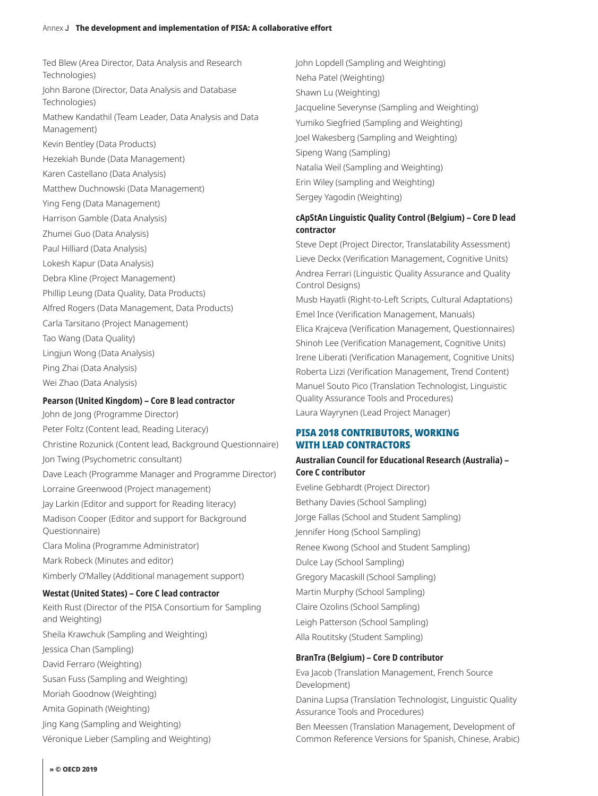Ted Blew (Area Director, Data Analysis and Research Technologies) John Barone (Director, Data Analysis and Database

Mathew Kandathil (Team Leader, Data Analysis and Data Management)

Kevin Bentley (Data Products)

Technologies)

Hezekiah Bunde (Data Management)

Karen Castellano (Data Analysis)

Matthew Duchnowski (Data Management)

Ying Feng (Data Management)

Harrison Gamble (Data Analysis)

Zhumei Guo (Data Analysis)

Paul Hilliard (Data Analysis)

Lokesh Kapur (Data Analysis)

Debra Kline (Project Management)

Phillip Leung (Data Quality, Data Products)

- Alfred Rogers (Data Management, Data Products) Carla Tarsitano (Project Management)
- Tao Wang (Data Quality)

Lingjun Wong (Data Analysis)

Ping Zhai (Data Analysis)

Wei Zhao (Data Analysis)

#### **Pearson (United Kingdom) – Core B lead contractor**

John de Jong (Programme Director)

Peter Foltz (Content lead, Reading Literacy)

Christine Rozunick (Content lead, Background Questionnaire)

Jon Twing (Psychometric consultant)

Dave Leach (Programme Manager and Programme Director) Lorraine Greenwood (Project management)

Jay Larkin (Editor and support for Reading literacy)

Madison Cooper (Editor and support for Background Questionnaire)

Clara Molina (Programme Administrator)

Mark Robeck (Minutes and editor)

Kimberly O'Malley (Additional management support)

#### **Westat (United States) – Core C lead contractor**

Keith Rust (Director of the PISA Consortium for Sampling and Weighting) Sheila Krawchuk (Sampling and Weighting) Jessica Chan (Sampling) David Ferraro (Weighting) Susan Fuss (Sampling and Weighting) Moriah Goodnow (Weighting) Amita Gopinath (Weighting) Jing Kang (Sampling and Weighting) Véronique Lieber (Sampling and Weighting)

John Lopdell (Sampling and Weighting) Neha Patel (Weighting) Shawn Lu (Weighting) Jacqueline Severynse (Sampling and Weighting) Yumiko Siegfried (Sampling and Weighting) Joel Wakesberg (Sampling and Weighting) Sipeng Wang (Sampling) Natalia Weil (Sampling and Weighting) Erin Wiley (sampling and Weighting) Sergey Yagodin (Weighting)

#### **cApStAn Linguistic Quality Control (Belgium) – Core D lead contractor**

Steve Dept (Project Director, Translatability Assessment) Lieve Deckx (Verification Management, Cognitive Units) Andrea Ferrari (Linguistic Quality Assurance and Quality Control Designs)

Musb Hayatli (Right‑to‑Left Scripts, Cultural Adaptations) Emel Ince (Verification Management, Manuals) Elica Krajceva (Verification Management, Questionnaires) Shinoh Lee (Verification Management, Cognitive Units) Irene Liberati (Verification Management, Cognitive Units) Roberta Lizzi (Verification Management, Trend Content) Manuel Souto Pico (Translation Technologist, Linguistic Quality Assurance Tools and Procedures) Laura Wayrynen (Lead Project Manager)

#### PISA 2018 CONTRIBUTORS, WORKING WITH LEAD CONTRACTORS

#### **Australian Council for Educational Research (Australia) – Core C contributor**

Eveline Gebhardt (Project Director) Bethany Davies (School Sampling) Jorge Fallas (School and Student Sampling) Jennifer Hong (School Sampling) Renee Kwong (School and Student Sampling) Dulce Lay (School Sampling) Gregory Macaskill (School Sampling) Martin Murphy (School Sampling) Claire Ozolins (School Sampling) Leigh Patterson (School Sampling) Alla Routitsky (Student Sampling)

#### **BranTra (Belgium) – Core D contributor**

Eva Jacob (Translation Management, French Source Development)

Danina Lupsa (Translation Technologist, Linguistic Quality Assurance Tools and Procedures)

Ben Meessen (Translation Management, Development of Common Reference Versions for Spanish, Chinese, Arabic)